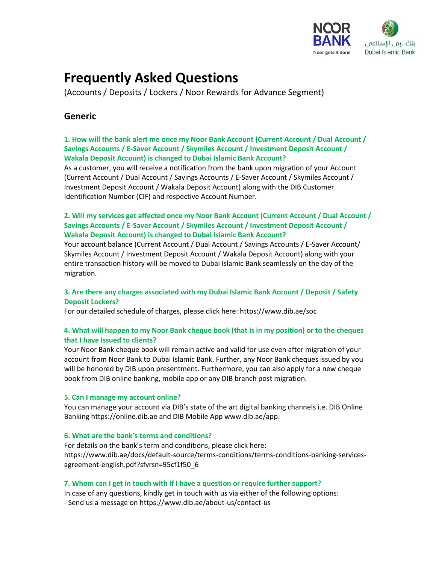

# **Frequently Asked Questions**

(Accounts / Deposits / Lockers / Noor Rewards for Advance Segment)

# **Generic**

# **1. How will the bank alert me once my Noor Bank Account (Current Account / Dual Account / Savings Accounts / E-Saver Account / Skymiles Account / Investment Deposit Account / Wakala Deposit Account) is changed to Dubai Islamic Bank Account?**

As a customer, you will receive a notification from the bank upon migration of your Account (Current Account / Dual Account / Savings Accounts / E-Saver Account / Skymiles Account / Investment Deposit Account / Wakala Deposit Account) along with the DIB Customer Identification Number (CIF) and respective Account Number.

# **2. Will my services get affected once my Noor Bank Account (Current Account / Dual Account / Savings Accounts / E-Saver Account / Skymiles Account / Investment Deposit Account / Wakala Deposit Account) is changed to Dubai Islamic Bank Account?**

Your account balance (Current Account / Dual Account / Savings Accounts / E-Saver Account/ Skymiles Account / Investment Deposit Account / Wakala Deposit Account) along with your entire transaction history will be moved to Dubai Islamic Bank seamlessly on the day of the migration.

# **3. Are there any charges associated with my Dubai Islamic Bank Account / Deposit / Safety Deposit Lockers?**

For our detailed schedule of charges, please click here: https://www.dib.ae/soc

# **4. What will happen to my Noor Bank cheque book (that is in my position) or to the cheques that I have issued to clients?**

Your Noor Bank cheque book will remain active and valid for use even after migration of your account from Noor Bank to Dubai Islamic Bank. Further, any Noor Bank cheques issued by you will be honored by DIB upon presentment. Furthermore, you can also apply for a new cheque book from DIB online banking, mobile app or any DIB branch post migration.

#### **5. Can I manage my account online?**

You can manage your account via DIB's state of the art digital banking channels i.e. DIB Online Banking https://online.dib.ae and DIB Mobile App www.dib.ae/app.

#### **6. What are the bank's terms and conditions?**

For details on the bank's term and conditions, please click here: https://www.dib.ae/docs/default-source/terms-conditions/terms-conditions-banking-servicesagreement-english.pdf?sfvrsn=95cf1f50\_6

#### **7. Whom can I get in touch with if I have a question or require further support?**

In case of any questions, kindly get in touch with us via either of the following options: - Send us a message on https://www.dib.ae/about-us/contact-us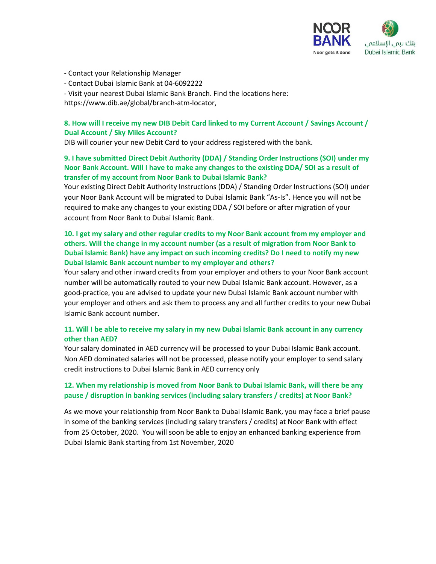

- Contact your Relationship Manager
- Contact Dubai Islamic Bank at 04-6092222

- Visit your nearest Dubai Islamic Bank Branch. Find the locations here:

https://www.dib.ae/global/branch-atm-locator,

# **8. How will I receive my new DIB Debit Card linked to my Current Account / Savings Account / Dual Account / Sky Miles Account?**

DIB will courier your new Debit Card to your address registered with the bank.

# **9. I have submitted Direct Debit Authority (DDA) / Standing Order Instructions (SOI) under my Noor Bank Account. Will I have to make any changes to the existing DDA/ SOI as a result of transfer of my account from Noor Bank to Dubai Islamic Bank?**

Your existing Direct Debit Authority Instructions (DDA) / Standing Order Instructions (SOI) under your Noor Bank Account will be migrated to Dubai Islamic Bank "As-Is". Hence you will not be required to make any changes to your existing DDA / SOI before or after migration of your account from Noor Bank to Dubai Islamic Bank.

# **10. I get my salary and other regular credits to my Noor Bank account from my employer and others. Will the change in my account number (as a result of migration from Noor Bank to Dubai Islamic Bank) have any impact on such incoming credits? Do I need to notify my new Dubai Islamic Bank account number to my employer and others?**

Your salary and other inward credits from your employer and others to your Noor Bank account number will be automatically routed to your new Dubai Islamic Bank account. However, as a good-practice, you are advised to update your new Dubai Islamic Bank account number with your employer and others and ask them to process any and all further credits to your new Dubai Islamic Bank account number.

# **11. Will I be able to receive my salary in my new Dubai Islamic Bank account in any currency other than AED?**

Your salary dominated in AED currency will be processed to your Dubai Islamic Bank account. Non AED dominated salaries will not be processed, please notify your employer to send salary credit instructions to Dubai Islamic Bank in AED currency only

# **12. When my relationship is moved from Noor Bank to Dubai Islamic Bank, will there be any pause / disruption in banking services (including salary transfers / credits) at Noor Bank?**

As we move your relationship from Noor Bank to Dubai Islamic Bank, you may face a brief pause in some of the banking services (including salary transfers / credits) at Noor Bank with effect from 25 October, 2020. You will soon be able to enjoy an enhanced banking experience from Dubai Islamic Bank starting from 1st November, 2020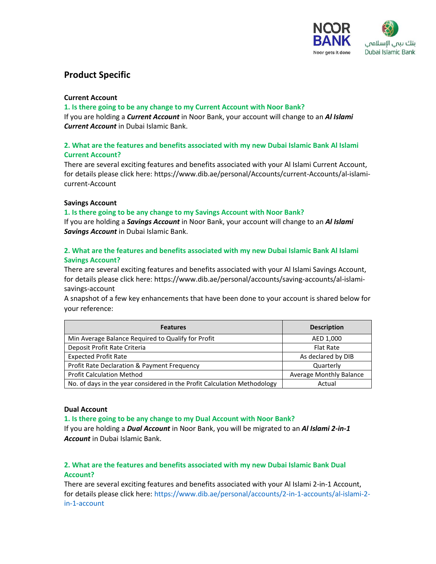

# **Product Specific**

#### **Current Account**

#### **1. Is there going to be any change to my Current Account with Noor Bank?**

If you are holding a *Current Account* in Noor Bank, your account will change to an *Al Islami Current Account* in Dubai Islamic Bank.

# **2. What are the features and benefits associated with my new Dubai Islamic Bank Al Islami Current Account?**

There are several exciting features and benefits associated with your Al Islami Current Account, for details please click here: https://www.dib.ae/personal/Accounts/current-Accounts/al-islamicurrent-Account

#### **Savings Account**

#### **1. Is there going to be any change to my Savings Account with Noor Bank?**

If you are holding a *Savings Account* in Noor Bank, your account will change to an *Al Islami Savings Account* in Dubai Islamic Bank.

# **2. What are the features and benefits associated with my new Dubai Islamic Bank Al Islami Savings Account?**

There are several exciting features and benefits associated with your Al Islami Savings Account, for details please click here: https://www.dib.ae/personal/accounts/saving-accounts/al-islamisavings-account

A snapshot of a few key enhancements that have been done to your account is shared below for your reference:

| <b>Features</b>                                                          | <b>Description</b>             |
|--------------------------------------------------------------------------|--------------------------------|
| Min Average Balance Required to Qualify for Profit                       | AED 1,000                      |
| Deposit Profit Rate Criteria                                             | <b>Flat Rate</b>               |
| <b>Expected Profit Rate</b>                                              | As declared by DIB             |
| Profit Rate Declaration & Payment Frequency                              | Quarterly                      |
| <b>Profit Calculation Method</b>                                         | <b>Average Monthly Balance</b> |
| No. of days in the year considered in the Profit Calculation Methodology | Actual                         |

#### **Dual Account**

#### **1. Is there going to be any change to my Dual Account with Noor Bank?**

If you are holding a *Dual Account* in Noor Bank, you will be migrated to an *Al Islami 2-in-1 Account* in Dubai Islamic Bank.

# **2. What are the features and benefits associated with my new Dubai Islamic Bank Dual Account?**

There are several exciting features and benefits associated with your Al Islami 2-in-1 Account, for details please click here[: https://www.dib.ae/personal/accounts/2-in-1-accounts/al-islami-2](https://www.dib.ae/personal/accounts/2-in-1-accounts/al-islami-2-in-1-account) [in-1-account](https://www.dib.ae/personal/accounts/2-in-1-accounts/al-islami-2-in-1-account)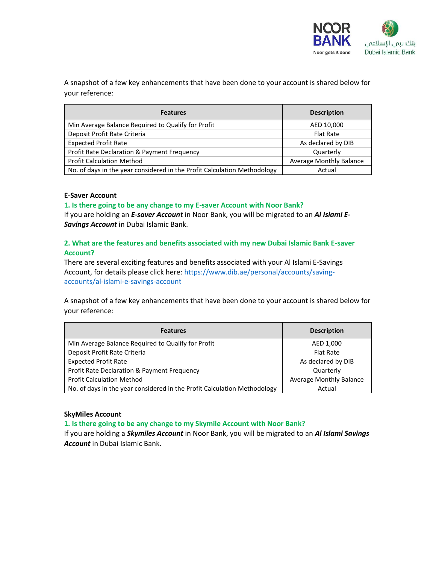

A snapshot of a few key enhancements that have been done to your account is shared below for your reference:

| <b>Features</b>                                                          | <b>Description</b>             |
|--------------------------------------------------------------------------|--------------------------------|
| Min Average Balance Required to Qualify for Profit                       | AED 10,000                     |
| Deposit Profit Rate Criteria                                             | <b>Flat Rate</b>               |
| <b>Expected Profit Rate</b>                                              | As declared by DIB             |
| Profit Rate Declaration & Payment Frequency                              | Quarterly                      |
| <b>Profit Calculation Method</b>                                         | <b>Average Monthly Balance</b> |
| No. of days in the year considered in the Profit Calculation Methodology | Actual                         |

#### **E-Saver Account**

#### **1. Is there going to be any change to my E-saver Account with Noor Bank?**

If you are holding an *E-saver Account* in Noor Bank, you will be migrated to an *Al Islami E-Savings Account* in Dubai Islamic Bank.

# **2. What are the features and benefits associated with my new Dubai Islamic Bank E-saver Account?**

There are several exciting features and benefits associated with your Al Islami E-Savings Account, for details please click here[: https://www.dib.ae/personal/accounts/saving](https://www.dib.ae/personal/accounts/saving-accounts/al-islami-e-savings-account)[accounts/al-islami-e-savings-account](https://www.dib.ae/personal/accounts/saving-accounts/al-islami-e-savings-account)

A snapshot of a few key enhancements that have been done to your account is shared below for your reference:

| <b>Features</b>                                                          | <b>Description</b>      |
|--------------------------------------------------------------------------|-------------------------|
| Min Average Balance Required to Qualify for Profit                       | AED 1,000               |
| Deposit Profit Rate Criteria                                             | <b>Flat Rate</b>        |
| <b>Expected Profit Rate</b>                                              | As declared by DIB      |
| Profit Rate Declaration & Payment Frequency                              | Quarterly               |
| <b>Profit Calculation Method</b>                                         | Average Monthly Balance |
| No. of days in the year considered in the Profit Calculation Methodology | Actual                  |

#### **SkyMiles Account**

**1. Is there going to be any change to my Skymile Account with Noor Bank?** 

If you are holding a *Skymiles Account* in Noor Bank, you will be migrated to an *Al Islami Savings Account* in Dubai Islamic Bank.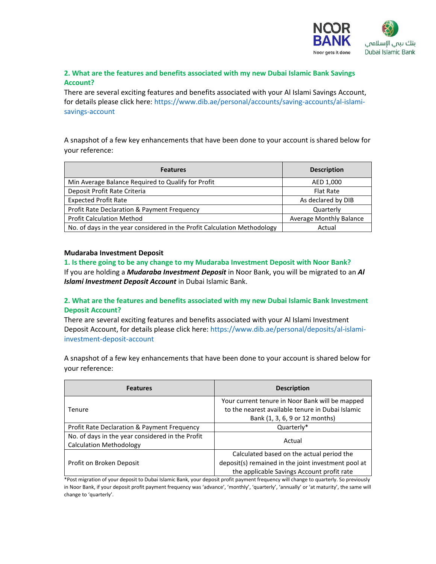

# **2. What are the features and benefits associated with my new Dubai Islamic Bank Savings Account?**

There are several exciting features and benefits associated with your Al Islami Savings Account, for details please click here[: https://www.dib.ae/personal/accounts/saving-accounts/al-islami](https://www.dib.ae/personal/accounts/saving-accounts/al-islami-savings-account)[savings-account](https://www.dib.ae/personal/accounts/saving-accounts/al-islami-savings-account)

A snapshot of a few key enhancements that have been done to your account is shared below for your reference:

| <b>Features</b>                                                          | <b>Description</b>      |
|--------------------------------------------------------------------------|-------------------------|
| Min Average Balance Required to Qualify for Profit                       | AED 1,000               |
| Deposit Profit Rate Criteria                                             | <b>Flat Rate</b>        |
| <b>Expected Profit Rate</b>                                              | As declared by DIB      |
| Profit Rate Declaration & Payment Frequency                              | Quarterly               |
| <b>Profit Calculation Method</b>                                         | Average Monthly Balance |
| No. of days in the year considered in the Profit Calculation Methodology | Actual                  |

#### **Mudaraba Investment Deposit**

**1. Is there going to be any change to my Mudaraba Investment Deposit with Noor Bank?**  If you are holding a *Mudaraba Investment Deposit* in Noor Bank, you will be migrated to an *Al Islami Investment Deposit Account* in Dubai Islamic Bank.

# **2. What are the features and benefits associated with my new Dubai Islamic Bank Investment Deposit Account?**

There are several exciting features and benefits associated with your Al Islami Investment Deposit Account, for details please click here[: https://www.dib.ae/personal/deposits/al-islami](https://www.dib.ae/personal/deposits/al-islami-investment-deposit-account)[investment-deposit-account](https://www.dib.ae/personal/deposits/al-islami-investment-deposit-account)

A snapshot of a few key enhancements that have been done to your account is shared below for your reference:

| <b>Features</b>                                                                    | <b>Description</b>                                                                                                                    |
|------------------------------------------------------------------------------------|---------------------------------------------------------------------------------------------------------------------------------------|
| Tenure                                                                             | Your current tenure in Noor Bank will be mapped<br>to the nearest available tenure in Dubai Islamic<br>Bank (1, 3, 6, 9 or 12 months) |
| Profit Rate Declaration & Payment Frequency                                        | Quarterly*                                                                                                                            |
| No. of days in the year considered in the Profit<br><b>Calculation Methodology</b> | Actual                                                                                                                                |
| Profit on Broken Deposit                                                           | Calculated based on the actual period the                                                                                             |
|                                                                                    | deposit(s) remained in the joint investment pool at<br>the applicable Savings Account profit rate                                     |

\*Post migration of your deposit to Dubai Islamic Bank, your deposit profit payment frequency will change to quarterly. So previously in Noor Bank, if your deposit profit payment frequency was 'advance', 'monthly', 'quarterly', 'annually' or 'at maturity', the same will change to 'quarterly'.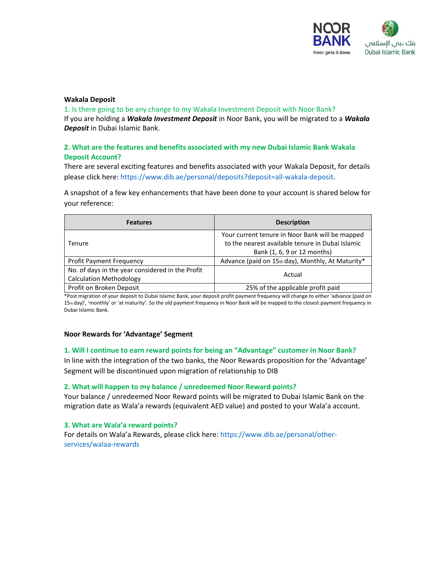

#### **Wakala Deposit**

1. Is there going to be any change to my Wakala Investment Deposit with Noor Bank? If you are holding a *Wakala Investment Deposit* in Noor Bank, you will be migrated to a *Wakala Deposit* in Dubai Islamic Bank.

# **2. What are the features and benefits associated with my new Dubai Islamic Bank Wakala Deposit Account?**

There are several exciting features and benefits associated with your Wakala Deposit, for details please click here: [https://www.dib.ae/personal/deposits?deposit=all-wakala-deposit.](https://www.dib.ae/personal/deposits?deposit=all-wakala-deposit)

A snapshot of a few key enhancements that have been done to your account is shared below for your reference:

| <b>Features</b>                                  | <b>Description</b>                                |  |
|--------------------------------------------------|---------------------------------------------------|--|
| <b>Tenure</b>                                    | Your current tenure in Noor Bank will be mapped   |  |
|                                                  | to the nearest available tenure in Dubai Islamic  |  |
|                                                  | Bank (1, 6, 9 or 12 months)                       |  |
| <b>Profit Payment Frequency</b>                  | Advance (paid on 15th day), Monthly, At Maturity* |  |
| No. of days in the year considered in the Profit |                                                   |  |
| <b>Calculation Methodology</b>                   | Actual                                            |  |
| Profit on Broken Deposit                         | 25% of the applicable profit paid                 |  |

\*Post migration of your deposit to Dubai Islamic Bank, your deposit profit payment frequency will change to either 'advance (paid on 15th day)', 'monthly' or 'at maturity'. So the old payment frequency in Noor Bank will be mapped to the closest payment frequency in Dubai Islamic Bank.

#### **Noor Rewards for 'Advantage' Segment**

#### **1. Will I continue to earn reward points for being an "Advantage" customer in Noor Bank?**

In line with the integration of the two banks, the Noor Rewards proposition for the 'Advantage' Segment will be discontinued upon migration of relationship to DIB

#### **2. What will happen to my balance / unredeemed Noor Reward points?**

Your balance / unredeemed Noor Reward points will be migrated to Dubai Islamic Bank on the migration date as Wala'a rewards (equivalent AED value) and posted to your Wala'a account.

#### **3. What are Wala'a reward points?**

For details on Wala'a Rewards, please click here: [https://www.dib.ae/personal/other](https://www.dib.ae/personal/other-services/walaa-rewards)[services/walaa-rewards](https://www.dib.ae/personal/other-services/walaa-rewards)